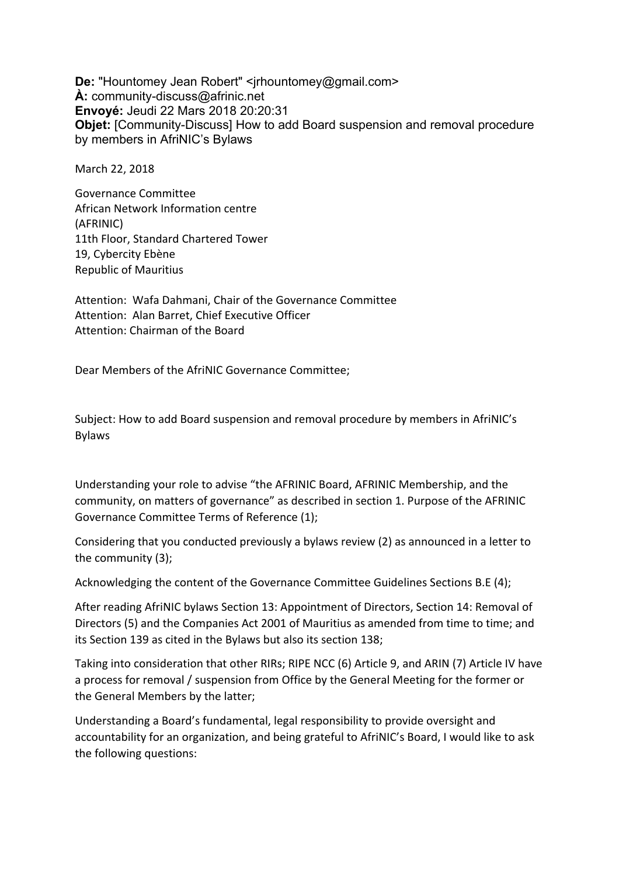**De: "Hountomey Jean Robert" <***irhountomey@gmail.com>* **À:** community-discuss@afrinic.net **Envoyé:** Jeudi 22 Mars 2018 20:20:31 **Objet:** [Community-Discuss] How to add Board suspension and removal procedure by members in AfriNIC's Bylaws

March 22, 2018

Governance Committee African Network Information centre (AFRINIC) 11th Floor, Standard Chartered Tower 19, Cybercity Ebène Republic of Mauritius

Attention: Wafa Dahmani, Chair of the Governance Committee Attention: Alan Barret, Chief Executive Officer Attention: Chairman of the Board

Dear Members of the AfriNIC Governance Committee;

Subject: How to add Board suspension and removal procedure by members in AfriNIC's Bylaws

Understanding your role to advise "the AFRINIC Board, AFRINIC Membership, and the community, on matters of governance" as described in section 1. Purpose of the AFRINIC Governance Committee Terms of Reference (1);

Considering that you conducted previously a bylaws review (2) as announced in a letter to the community  $(3)$ ;

Acknowledging the content of the Governance Committee Guidelines Sections B.E (4);

After reading AfriNIC bylaws Section 13: Appointment of Directors, Section 14: Removal of Directors (5) and the Companies Act 2001 of Mauritius as amended from time to time; and its Section 139 as cited in the Bylaws but also its section 138;

Taking into consideration that other RIRs; RIPE NCC (6) Article 9, and ARIN (7) Article IV have a process for removal / suspension from Office by the General Meeting for the former or the General Members by the latter;

Understanding a Board's fundamental, legal responsibility to provide oversight and accountability for an organization, and being grateful to AfriNIC's Board, I would like to ask the following questions: